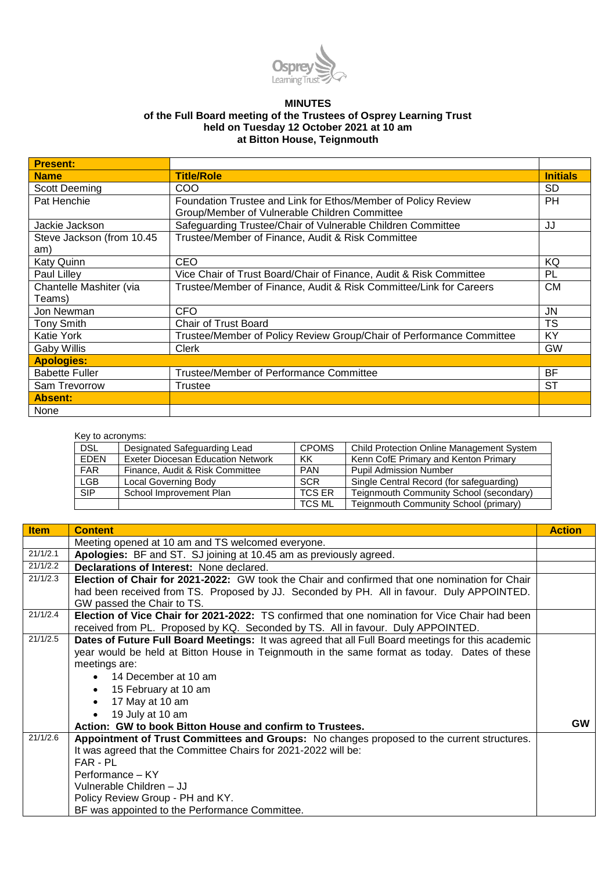

## **MINUTES of the Full Board meeting of the Trustees of Osprey Learning Trust held on Tuesday 12 October 2021 at 10 am at Bitton House, Teignmouth**

| <b>Present:</b>            |                                                                      |                 |
|----------------------------|----------------------------------------------------------------------|-----------------|
| <b>Name</b>                | <b>Title/Role</b>                                                    | <b>Initials</b> |
| <b>Scott Deeming</b>       | COO                                                                  | <b>SD</b>       |
| Pat Henchie                | Foundation Trustee and Link for Ethos/Member of Policy Review        | <b>PH</b>       |
|                            | Group/Member of Vulnerable Children Committee                        |                 |
| Jackie Jackson             | Safeguarding Trustee/Chair of Vulnerable Children Committee          | JJ              |
| Steve Jackson (from 10.45) | Trustee/Member of Finance, Audit & Risk Committee                    |                 |
| am)                        |                                                                      |                 |
| <b>Katy Quinn</b>          | <b>CEO</b>                                                           | KQ              |
| Paul Lilley                | Vice Chair of Trust Board/Chair of Finance, Audit & Risk Committee   | PL              |
| Chantelle Mashiter (via    | Trustee/Member of Finance, Audit & Risk Committee/Link for Careers   | <b>CM</b>       |
| Teams)                     |                                                                      |                 |
| Jon Newman                 | <b>CFO</b>                                                           | JN              |
| Tony Smith                 | <b>Chair of Trust Board</b>                                          | <b>TS</b>       |
| Katie York                 | Trustee/Member of Policy Review Group/Chair of Performance Committee | KY              |
| <b>Gaby Willis</b>         | <b>Clerk</b>                                                         | GW              |
| <b>Apologies:</b>          |                                                                      |                 |
| <b>Babette Fuller</b>      | <b>Trustee/Member of Performance Committee</b>                       | <b>BF</b>       |
| Sam Trevorrow              | <b>Trustee</b>                                                       | ST              |
| <b>Absent:</b>             |                                                                      |                 |
| None                       |                                                                      |                 |

## Key to acronyms:

| <b>DSL</b>  | Designated Safeguarding Lead             | <b>CPOMS</b>  | Child Protection Online Management System |
|-------------|------------------------------------------|---------------|-------------------------------------------|
| <b>EDEN</b> | <b>Exeter Diocesan Education Network</b> | ΚK            | Kenn CofE Primary and Kenton Primary      |
| <b>FAR</b>  | Finance, Audit & Risk Committee          | <b>PAN</b>    | <b>Pupil Admission Number</b>             |
| <b>LGB</b>  | <b>Local Governing Body</b>              | <b>SCR</b>    | Single Central Record (for safeguarding)  |
| <b>SIP</b>  | School Improvement Plan                  | <b>TCS ER</b> | Teignmouth Community School (secondary)   |
|             |                                          | TCS ML        | Teignmouth Community School (primary)     |

| <b>Item</b> | <b>Content</b>                                                                                        | <b>Action</b> |
|-------------|-------------------------------------------------------------------------------------------------------|---------------|
|             | Meeting opened at 10 am and TS welcomed everyone.                                                     |               |
| 21/1/2.1    | Apologies: BF and ST. SJ joining at 10.45 am as previously agreed.                                    |               |
| 21/1/2.2    | Declarations of Interest: None declared.                                                              |               |
| 21/1/2.3    | <b>Election of Chair for 2021-2022:</b> GW took the Chair and confirmed that one nomination for Chair |               |
|             | had been received from TS. Proposed by JJ. Seconded by PH. All in favour. Duly APPOINTED.             |               |
|             | GW passed the Chair to TS.                                                                            |               |
| 21/1/2.4    | <b>Election of Vice Chair for 2021-2022:</b> TS confirmed that one nomination for Vice Chair had been |               |
|             | received from PL. Proposed by KQ. Seconded by TS. All in favour. Duly APPOINTED.                      |               |
| 21/1/2.5    | Dates of Future Full Board Meetings: It was agreed that all Full Board meetings for this academic     |               |
|             | year would be held at Bitton House in Teignmouth in the same format as today. Dates of these          |               |
|             | meetings are:                                                                                         |               |
|             | • 14 December at 10 am                                                                                |               |
|             | 15 February at 10 am<br>$\bullet$                                                                     |               |
|             | 17 May at 10 am<br>$\bullet$                                                                          |               |
|             | 19 July at 10 am                                                                                      |               |
|             | Action: GW to book Bitton House and confirm to Trustees.                                              | <b>GW</b>     |
| 21/1/2.6    | Appointment of Trust Committees and Groups: No changes proposed to the current structures.            |               |
|             | It was agreed that the Committee Chairs for 2021-2022 will be:                                        |               |
|             | FAR - PL                                                                                              |               |
|             | Performance – KY                                                                                      |               |
|             | Vulnerable Children - JJ                                                                              |               |
|             | Policy Review Group - PH and KY.                                                                      |               |
|             | BF was appointed to the Performance Committee.                                                        |               |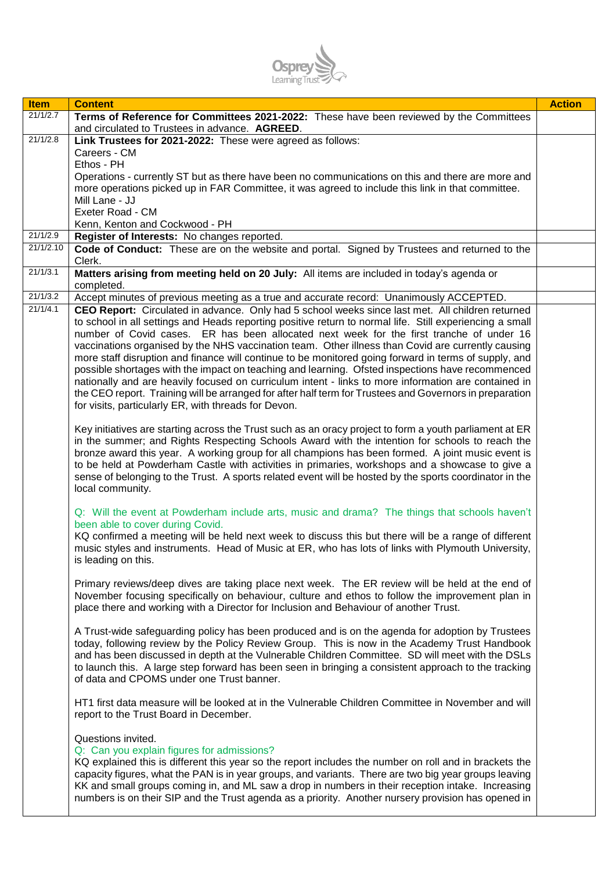

| and circulated to Trustees in advance. AGREED.<br>21/1/2.8<br>Link Trustees for 2021-2022: These were agreed as follows:<br>Careers - CM<br>Ethos - PH<br>Operations - currently ST but as there have been no communications on this and there are more and<br>more operations picked up in FAR Committee, it was agreed to include this link in that committee.<br>Mill Lane - JJ<br>Exeter Road - CM<br>Kenn, Kenton and Cockwood - PH<br>21/1/2.9<br>Register of Interests: No changes reported.<br>21/1/2.10<br>Code of Conduct: These are on the website and portal. Signed by Trustees and returned to the<br>Clerk.<br>21/1/3.1<br>Matters arising from meeting held on 20 July: All items are included in today's agenda or<br>completed.<br>21/1/3.2<br>Accept minutes of previous meeting as a true and accurate record: Unanimously ACCEPTED.<br>21/1/4.1<br>CEO Report: Circulated in advance. Only had 5 school weeks since last met. All children returned<br>to school in all settings and Heads reporting positive return to normal life. Still experiencing a small<br>number of Covid cases. ER has been allocated next week for the first tranche of under 16<br>vaccinations organised by the NHS vaccination team. Other illness than Covid are currently causing<br>more staff disruption and finance will continue to be monitored going forward in terms of supply, and<br>possible shortages with the impact on teaching and learning. Ofsted inspections have recommenced<br>nationally and are heavily focused on curriculum intent - links to more information are contained in<br>the CEO report. Training will be arranged for after half term for Trustees and Governors in preparation<br>for visits, particularly ER, with threads for Devon.<br>Key initiatives are starting across the Trust such as an oracy project to form a youth parliament at ER<br>in the summer; and Rights Respecting Schools Award with the intention for schools to reach the<br>bronze award this year. A working group for all champions has been formed. A joint music event is<br>to be held at Powderham Castle with activities in primaries, workshops and a showcase to give a<br>sense of belonging to the Trust. A sports related event will be hosted by the sports coordinator in the<br>local community.<br>Q: Will the event at Powderham include arts, music and drama? The things that schools haven't<br>been able to cover during Covid.<br>KQ confirmed a meeting will be held next week to discuss this but there will be a range of different<br>music styles and instruments. Head of Music at ER, who has lots of links with Plymouth University,<br>is leading on this.<br>Primary reviews/deep dives are taking place next week. The ER review will be held at the end of<br>November focusing specifically on behaviour, culture and ethos to follow the improvement plan in<br>place there and working with a Director for Inclusion and Behaviour of another Trust.<br>A Trust-wide safeguarding policy has been produced and is on the agenda for adoption by Trustees<br>today, following review by the Policy Review Group. This is now in the Academy Trust Handbook<br>and has been discussed in depth at the Vulnerable Children Committee. SD will meet with the DSLs<br>to launch this. A large step forward has been seen in bringing a consistent approach to the tracking<br>of data and CPOMS under one Trust banner.<br>HT1 first data measure will be looked at in the Vulnerable Children Committee in November and will<br>report to the Trust Board in December.<br>Questions invited.<br>Q: Can you explain figures for admissions?<br>KQ explained this is different this year so the report includes the number on roll and in brackets the<br>capacity figures, what the PAN is in year groups, and variants. There are two big year groups leaving<br>KK and small groups coming in, and ML saw a drop in numbers in their reception intake. Increasing<br>numbers is on their SIP and the Trust agenda as a priority. Another nursery provision has opened in | <b>Item</b> | <b>Content</b>                                                                          | <b>Action</b> |
|-------------------------------------------------------------------------------------------------------------------------------------------------------------------------------------------------------------------------------------------------------------------------------------------------------------------------------------------------------------------------------------------------------------------------------------------------------------------------------------------------------------------------------------------------------------------------------------------------------------------------------------------------------------------------------------------------------------------------------------------------------------------------------------------------------------------------------------------------------------------------------------------------------------------------------------------------------------------------------------------------------------------------------------------------------------------------------------------------------------------------------------------------------------------------------------------------------------------------------------------------------------------------------------------------------------------------------------------------------------------------------------------------------------------------------------------------------------------------------------------------------------------------------------------------------------------------------------------------------------------------------------------------------------------------------------------------------------------------------------------------------------------------------------------------------------------------------------------------------------------------------------------------------------------------------------------------------------------------------------------------------------------------------------------------------------------------------------------------------------------------------------------------------------------------------------------------------------------------------------------------------------------------------------------------------------------------------------------------------------------------------------------------------------------------------------------------------------------------------------------------------------------------------------------------------------------------------------------------------------------------------------------------------------------------------------------------------------------------------------------------------------------------------------------------------------------------------------------------------------------------------------------------------------------------------------------------------------------------------------------------------------------------------------------------------------------------------------------------------------------------------------------------------------------------------------------------------------------------------------------------------------------------------------------------------------------------------------------------------------------------------------------------------------------------------------------------------------------------------------------------------------------------------------------------------------------------------------------------------------------------------------------------------------------------------------------------------------------------------------------------------------------------------------------------------------------------------------------------------------------------------------------------------------------------------------------------------------------------------------------------------------------------------------------------------------------------------------------------------------------------------|-------------|-----------------------------------------------------------------------------------------|---------------|
|                                                                                                                                                                                                                                                                                                                                                                                                                                                                                                                                                                                                                                                                                                                                                                                                                                                                                                                                                                                                                                                                                                                                                                                                                                                                                                                                                                                                                                                                                                                                                                                                                                                                                                                                                                                                                                                                                                                                                                                                                                                                                                                                                                                                                                                                                                                                                                                                                                                                                                                                                                                                                                                                                                                                                                                                                                                                                                                                                                                                                                                                                                                                                                                                                                                                                                                                                                                                                                                                                                                                                                                                                                                                                                                                                                                                                                                                                                                                                                                                                                                                                                                               | 21/1/2.7    | Terms of Reference for Committees 2021-2022: These have been reviewed by the Committees |               |
|                                                                                                                                                                                                                                                                                                                                                                                                                                                                                                                                                                                                                                                                                                                                                                                                                                                                                                                                                                                                                                                                                                                                                                                                                                                                                                                                                                                                                                                                                                                                                                                                                                                                                                                                                                                                                                                                                                                                                                                                                                                                                                                                                                                                                                                                                                                                                                                                                                                                                                                                                                                                                                                                                                                                                                                                                                                                                                                                                                                                                                                                                                                                                                                                                                                                                                                                                                                                                                                                                                                                                                                                                                                                                                                                                                                                                                                                                                                                                                                                                                                                                                                               |             |                                                                                         |               |
|                                                                                                                                                                                                                                                                                                                                                                                                                                                                                                                                                                                                                                                                                                                                                                                                                                                                                                                                                                                                                                                                                                                                                                                                                                                                                                                                                                                                                                                                                                                                                                                                                                                                                                                                                                                                                                                                                                                                                                                                                                                                                                                                                                                                                                                                                                                                                                                                                                                                                                                                                                                                                                                                                                                                                                                                                                                                                                                                                                                                                                                                                                                                                                                                                                                                                                                                                                                                                                                                                                                                                                                                                                                                                                                                                                                                                                                                                                                                                                                                                                                                                                                               |             |                                                                                         |               |
|                                                                                                                                                                                                                                                                                                                                                                                                                                                                                                                                                                                                                                                                                                                                                                                                                                                                                                                                                                                                                                                                                                                                                                                                                                                                                                                                                                                                                                                                                                                                                                                                                                                                                                                                                                                                                                                                                                                                                                                                                                                                                                                                                                                                                                                                                                                                                                                                                                                                                                                                                                                                                                                                                                                                                                                                                                                                                                                                                                                                                                                                                                                                                                                                                                                                                                                                                                                                                                                                                                                                                                                                                                                                                                                                                                                                                                                                                                                                                                                                                                                                                                                               |             |                                                                                         |               |
|                                                                                                                                                                                                                                                                                                                                                                                                                                                                                                                                                                                                                                                                                                                                                                                                                                                                                                                                                                                                                                                                                                                                                                                                                                                                                                                                                                                                                                                                                                                                                                                                                                                                                                                                                                                                                                                                                                                                                                                                                                                                                                                                                                                                                                                                                                                                                                                                                                                                                                                                                                                                                                                                                                                                                                                                                                                                                                                                                                                                                                                                                                                                                                                                                                                                                                                                                                                                                                                                                                                                                                                                                                                                                                                                                                                                                                                                                                                                                                                                                                                                                                                               |             |                                                                                         |               |
|                                                                                                                                                                                                                                                                                                                                                                                                                                                                                                                                                                                                                                                                                                                                                                                                                                                                                                                                                                                                                                                                                                                                                                                                                                                                                                                                                                                                                                                                                                                                                                                                                                                                                                                                                                                                                                                                                                                                                                                                                                                                                                                                                                                                                                                                                                                                                                                                                                                                                                                                                                                                                                                                                                                                                                                                                                                                                                                                                                                                                                                                                                                                                                                                                                                                                                                                                                                                                                                                                                                                                                                                                                                                                                                                                                                                                                                                                                                                                                                                                                                                                                                               |             |                                                                                         |               |
|                                                                                                                                                                                                                                                                                                                                                                                                                                                                                                                                                                                                                                                                                                                                                                                                                                                                                                                                                                                                                                                                                                                                                                                                                                                                                                                                                                                                                                                                                                                                                                                                                                                                                                                                                                                                                                                                                                                                                                                                                                                                                                                                                                                                                                                                                                                                                                                                                                                                                                                                                                                                                                                                                                                                                                                                                                                                                                                                                                                                                                                                                                                                                                                                                                                                                                                                                                                                                                                                                                                                                                                                                                                                                                                                                                                                                                                                                                                                                                                                                                                                                                                               |             |                                                                                         |               |
|                                                                                                                                                                                                                                                                                                                                                                                                                                                                                                                                                                                                                                                                                                                                                                                                                                                                                                                                                                                                                                                                                                                                                                                                                                                                                                                                                                                                                                                                                                                                                                                                                                                                                                                                                                                                                                                                                                                                                                                                                                                                                                                                                                                                                                                                                                                                                                                                                                                                                                                                                                                                                                                                                                                                                                                                                                                                                                                                                                                                                                                                                                                                                                                                                                                                                                                                                                                                                                                                                                                                                                                                                                                                                                                                                                                                                                                                                                                                                                                                                                                                                                                               |             |                                                                                         |               |
|                                                                                                                                                                                                                                                                                                                                                                                                                                                                                                                                                                                                                                                                                                                                                                                                                                                                                                                                                                                                                                                                                                                                                                                                                                                                                                                                                                                                                                                                                                                                                                                                                                                                                                                                                                                                                                                                                                                                                                                                                                                                                                                                                                                                                                                                                                                                                                                                                                                                                                                                                                                                                                                                                                                                                                                                                                                                                                                                                                                                                                                                                                                                                                                                                                                                                                                                                                                                                                                                                                                                                                                                                                                                                                                                                                                                                                                                                                                                                                                                                                                                                                                               |             |                                                                                         |               |
|                                                                                                                                                                                                                                                                                                                                                                                                                                                                                                                                                                                                                                                                                                                                                                                                                                                                                                                                                                                                                                                                                                                                                                                                                                                                                                                                                                                                                                                                                                                                                                                                                                                                                                                                                                                                                                                                                                                                                                                                                                                                                                                                                                                                                                                                                                                                                                                                                                                                                                                                                                                                                                                                                                                                                                                                                                                                                                                                                                                                                                                                                                                                                                                                                                                                                                                                                                                                                                                                                                                                                                                                                                                                                                                                                                                                                                                                                                                                                                                                                                                                                                                               |             |                                                                                         |               |
|                                                                                                                                                                                                                                                                                                                                                                                                                                                                                                                                                                                                                                                                                                                                                                                                                                                                                                                                                                                                                                                                                                                                                                                                                                                                                                                                                                                                                                                                                                                                                                                                                                                                                                                                                                                                                                                                                                                                                                                                                                                                                                                                                                                                                                                                                                                                                                                                                                                                                                                                                                                                                                                                                                                                                                                                                                                                                                                                                                                                                                                                                                                                                                                                                                                                                                                                                                                                                                                                                                                                                                                                                                                                                                                                                                                                                                                                                                                                                                                                                                                                                                                               |             |                                                                                         |               |
|                                                                                                                                                                                                                                                                                                                                                                                                                                                                                                                                                                                                                                                                                                                                                                                                                                                                                                                                                                                                                                                                                                                                                                                                                                                                                                                                                                                                                                                                                                                                                                                                                                                                                                                                                                                                                                                                                                                                                                                                                                                                                                                                                                                                                                                                                                                                                                                                                                                                                                                                                                                                                                                                                                                                                                                                                                                                                                                                                                                                                                                                                                                                                                                                                                                                                                                                                                                                                                                                                                                                                                                                                                                                                                                                                                                                                                                                                                                                                                                                                                                                                                                               |             |                                                                                         |               |
|                                                                                                                                                                                                                                                                                                                                                                                                                                                                                                                                                                                                                                                                                                                                                                                                                                                                                                                                                                                                                                                                                                                                                                                                                                                                                                                                                                                                                                                                                                                                                                                                                                                                                                                                                                                                                                                                                                                                                                                                                                                                                                                                                                                                                                                                                                                                                                                                                                                                                                                                                                                                                                                                                                                                                                                                                                                                                                                                                                                                                                                                                                                                                                                                                                                                                                                                                                                                                                                                                                                                                                                                                                                                                                                                                                                                                                                                                                                                                                                                                                                                                                                               |             |                                                                                         |               |
|                                                                                                                                                                                                                                                                                                                                                                                                                                                                                                                                                                                                                                                                                                                                                                                                                                                                                                                                                                                                                                                                                                                                                                                                                                                                                                                                                                                                                                                                                                                                                                                                                                                                                                                                                                                                                                                                                                                                                                                                                                                                                                                                                                                                                                                                                                                                                                                                                                                                                                                                                                                                                                                                                                                                                                                                                                                                                                                                                                                                                                                                                                                                                                                                                                                                                                                                                                                                                                                                                                                                                                                                                                                                                                                                                                                                                                                                                                                                                                                                                                                                                                                               |             |                                                                                         |               |
|                                                                                                                                                                                                                                                                                                                                                                                                                                                                                                                                                                                                                                                                                                                                                                                                                                                                                                                                                                                                                                                                                                                                                                                                                                                                                                                                                                                                                                                                                                                                                                                                                                                                                                                                                                                                                                                                                                                                                                                                                                                                                                                                                                                                                                                                                                                                                                                                                                                                                                                                                                                                                                                                                                                                                                                                                                                                                                                                                                                                                                                                                                                                                                                                                                                                                                                                                                                                                                                                                                                                                                                                                                                                                                                                                                                                                                                                                                                                                                                                                                                                                                                               |             |                                                                                         |               |
|                                                                                                                                                                                                                                                                                                                                                                                                                                                                                                                                                                                                                                                                                                                                                                                                                                                                                                                                                                                                                                                                                                                                                                                                                                                                                                                                                                                                                                                                                                                                                                                                                                                                                                                                                                                                                                                                                                                                                                                                                                                                                                                                                                                                                                                                                                                                                                                                                                                                                                                                                                                                                                                                                                                                                                                                                                                                                                                                                                                                                                                                                                                                                                                                                                                                                                                                                                                                                                                                                                                                                                                                                                                                                                                                                                                                                                                                                                                                                                                                                                                                                                                               |             |                                                                                         |               |
|                                                                                                                                                                                                                                                                                                                                                                                                                                                                                                                                                                                                                                                                                                                                                                                                                                                                                                                                                                                                                                                                                                                                                                                                                                                                                                                                                                                                                                                                                                                                                                                                                                                                                                                                                                                                                                                                                                                                                                                                                                                                                                                                                                                                                                                                                                                                                                                                                                                                                                                                                                                                                                                                                                                                                                                                                                                                                                                                                                                                                                                                                                                                                                                                                                                                                                                                                                                                                                                                                                                                                                                                                                                                                                                                                                                                                                                                                                                                                                                                                                                                                                                               |             |                                                                                         |               |
|                                                                                                                                                                                                                                                                                                                                                                                                                                                                                                                                                                                                                                                                                                                                                                                                                                                                                                                                                                                                                                                                                                                                                                                                                                                                                                                                                                                                                                                                                                                                                                                                                                                                                                                                                                                                                                                                                                                                                                                                                                                                                                                                                                                                                                                                                                                                                                                                                                                                                                                                                                                                                                                                                                                                                                                                                                                                                                                                                                                                                                                                                                                                                                                                                                                                                                                                                                                                                                                                                                                                                                                                                                                                                                                                                                                                                                                                                                                                                                                                                                                                                                                               |             |                                                                                         |               |
|                                                                                                                                                                                                                                                                                                                                                                                                                                                                                                                                                                                                                                                                                                                                                                                                                                                                                                                                                                                                                                                                                                                                                                                                                                                                                                                                                                                                                                                                                                                                                                                                                                                                                                                                                                                                                                                                                                                                                                                                                                                                                                                                                                                                                                                                                                                                                                                                                                                                                                                                                                                                                                                                                                                                                                                                                                                                                                                                                                                                                                                                                                                                                                                                                                                                                                                                                                                                                                                                                                                                                                                                                                                                                                                                                                                                                                                                                                                                                                                                                                                                                                                               |             |                                                                                         |               |
|                                                                                                                                                                                                                                                                                                                                                                                                                                                                                                                                                                                                                                                                                                                                                                                                                                                                                                                                                                                                                                                                                                                                                                                                                                                                                                                                                                                                                                                                                                                                                                                                                                                                                                                                                                                                                                                                                                                                                                                                                                                                                                                                                                                                                                                                                                                                                                                                                                                                                                                                                                                                                                                                                                                                                                                                                                                                                                                                                                                                                                                                                                                                                                                                                                                                                                                                                                                                                                                                                                                                                                                                                                                                                                                                                                                                                                                                                                                                                                                                                                                                                                                               |             |                                                                                         |               |
|                                                                                                                                                                                                                                                                                                                                                                                                                                                                                                                                                                                                                                                                                                                                                                                                                                                                                                                                                                                                                                                                                                                                                                                                                                                                                                                                                                                                                                                                                                                                                                                                                                                                                                                                                                                                                                                                                                                                                                                                                                                                                                                                                                                                                                                                                                                                                                                                                                                                                                                                                                                                                                                                                                                                                                                                                                                                                                                                                                                                                                                                                                                                                                                                                                                                                                                                                                                                                                                                                                                                                                                                                                                                                                                                                                                                                                                                                                                                                                                                                                                                                                                               |             |                                                                                         |               |
|                                                                                                                                                                                                                                                                                                                                                                                                                                                                                                                                                                                                                                                                                                                                                                                                                                                                                                                                                                                                                                                                                                                                                                                                                                                                                                                                                                                                                                                                                                                                                                                                                                                                                                                                                                                                                                                                                                                                                                                                                                                                                                                                                                                                                                                                                                                                                                                                                                                                                                                                                                                                                                                                                                                                                                                                                                                                                                                                                                                                                                                                                                                                                                                                                                                                                                                                                                                                                                                                                                                                                                                                                                                                                                                                                                                                                                                                                                                                                                                                                                                                                                                               |             |                                                                                         |               |
|                                                                                                                                                                                                                                                                                                                                                                                                                                                                                                                                                                                                                                                                                                                                                                                                                                                                                                                                                                                                                                                                                                                                                                                                                                                                                                                                                                                                                                                                                                                                                                                                                                                                                                                                                                                                                                                                                                                                                                                                                                                                                                                                                                                                                                                                                                                                                                                                                                                                                                                                                                                                                                                                                                                                                                                                                                                                                                                                                                                                                                                                                                                                                                                                                                                                                                                                                                                                                                                                                                                                                                                                                                                                                                                                                                                                                                                                                                                                                                                                                                                                                                                               |             |                                                                                         |               |
|                                                                                                                                                                                                                                                                                                                                                                                                                                                                                                                                                                                                                                                                                                                                                                                                                                                                                                                                                                                                                                                                                                                                                                                                                                                                                                                                                                                                                                                                                                                                                                                                                                                                                                                                                                                                                                                                                                                                                                                                                                                                                                                                                                                                                                                                                                                                                                                                                                                                                                                                                                                                                                                                                                                                                                                                                                                                                                                                                                                                                                                                                                                                                                                                                                                                                                                                                                                                                                                                                                                                                                                                                                                                                                                                                                                                                                                                                                                                                                                                                                                                                                                               |             |                                                                                         |               |
|                                                                                                                                                                                                                                                                                                                                                                                                                                                                                                                                                                                                                                                                                                                                                                                                                                                                                                                                                                                                                                                                                                                                                                                                                                                                                                                                                                                                                                                                                                                                                                                                                                                                                                                                                                                                                                                                                                                                                                                                                                                                                                                                                                                                                                                                                                                                                                                                                                                                                                                                                                                                                                                                                                                                                                                                                                                                                                                                                                                                                                                                                                                                                                                                                                                                                                                                                                                                                                                                                                                                                                                                                                                                                                                                                                                                                                                                                                                                                                                                                                                                                                                               |             |                                                                                         |               |
|                                                                                                                                                                                                                                                                                                                                                                                                                                                                                                                                                                                                                                                                                                                                                                                                                                                                                                                                                                                                                                                                                                                                                                                                                                                                                                                                                                                                                                                                                                                                                                                                                                                                                                                                                                                                                                                                                                                                                                                                                                                                                                                                                                                                                                                                                                                                                                                                                                                                                                                                                                                                                                                                                                                                                                                                                                                                                                                                                                                                                                                                                                                                                                                                                                                                                                                                                                                                                                                                                                                                                                                                                                                                                                                                                                                                                                                                                                                                                                                                                                                                                                                               |             |                                                                                         |               |
|                                                                                                                                                                                                                                                                                                                                                                                                                                                                                                                                                                                                                                                                                                                                                                                                                                                                                                                                                                                                                                                                                                                                                                                                                                                                                                                                                                                                                                                                                                                                                                                                                                                                                                                                                                                                                                                                                                                                                                                                                                                                                                                                                                                                                                                                                                                                                                                                                                                                                                                                                                                                                                                                                                                                                                                                                                                                                                                                                                                                                                                                                                                                                                                                                                                                                                                                                                                                                                                                                                                                                                                                                                                                                                                                                                                                                                                                                                                                                                                                                                                                                                                               |             |                                                                                         |               |
|                                                                                                                                                                                                                                                                                                                                                                                                                                                                                                                                                                                                                                                                                                                                                                                                                                                                                                                                                                                                                                                                                                                                                                                                                                                                                                                                                                                                                                                                                                                                                                                                                                                                                                                                                                                                                                                                                                                                                                                                                                                                                                                                                                                                                                                                                                                                                                                                                                                                                                                                                                                                                                                                                                                                                                                                                                                                                                                                                                                                                                                                                                                                                                                                                                                                                                                                                                                                                                                                                                                                                                                                                                                                                                                                                                                                                                                                                                                                                                                                                                                                                                                               |             |                                                                                         |               |
|                                                                                                                                                                                                                                                                                                                                                                                                                                                                                                                                                                                                                                                                                                                                                                                                                                                                                                                                                                                                                                                                                                                                                                                                                                                                                                                                                                                                                                                                                                                                                                                                                                                                                                                                                                                                                                                                                                                                                                                                                                                                                                                                                                                                                                                                                                                                                                                                                                                                                                                                                                                                                                                                                                                                                                                                                                                                                                                                                                                                                                                                                                                                                                                                                                                                                                                                                                                                                                                                                                                                                                                                                                                                                                                                                                                                                                                                                                                                                                                                                                                                                                                               |             |                                                                                         |               |
|                                                                                                                                                                                                                                                                                                                                                                                                                                                                                                                                                                                                                                                                                                                                                                                                                                                                                                                                                                                                                                                                                                                                                                                                                                                                                                                                                                                                                                                                                                                                                                                                                                                                                                                                                                                                                                                                                                                                                                                                                                                                                                                                                                                                                                                                                                                                                                                                                                                                                                                                                                                                                                                                                                                                                                                                                                                                                                                                                                                                                                                                                                                                                                                                                                                                                                                                                                                                                                                                                                                                                                                                                                                                                                                                                                                                                                                                                                                                                                                                                                                                                                                               |             |                                                                                         |               |
|                                                                                                                                                                                                                                                                                                                                                                                                                                                                                                                                                                                                                                                                                                                                                                                                                                                                                                                                                                                                                                                                                                                                                                                                                                                                                                                                                                                                                                                                                                                                                                                                                                                                                                                                                                                                                                                                                                                                                                                                                                                                                                                                                                                                                                                                                                                                                                                                                                                                                                                                                                                                                                                                                                                                                                                                                                                                                                                                                                                                                                                                                                                                                                                                                                                                                                                                                                                                                                                                                                                                                                                                                                                                                                                                                                                                                                                                                                                                                                                                                                                                                                                               |             |                                                                                         |               |
|                                                                                                                                                                                                                                                                                                                                                                                                                                                                                                                                                                                                                                                                                                                                                                                                                                                                                                                                                                                                                                                                                                                                                                                                                                                                                                                                                                                                                                                                                                                                                                                                                                                                                                                                                                                                                                                                                                                                                                                                                                                                                                                                                                                                                                                                                                                                                                                                                                                                                                                                                                                                                                                                                                                                                                                                                                                                                                                                                                                                                                                                                                                                                                                                                                                                                                                                                                                                                                                                                                                                                                                                                                                                                                                                                                                                                                                                                                                                                                                                                                                                                                                               |             |                                                                                         |               |
|                                                                                                                                                                                                                                                                                                                                                                                                                                                                                                                                                                                                                                                                                                                                                                                                                                                                                                                                                                                                                                                                                                                                                                                                                                                                                                                                                                                                                                                                                                                                                                                                                                                                                                                                                                                                                                                                                                                                                                                                                                                                                                                                                                                                                                                                                                                                                                                                                                                                                                                                                                                                                                                                                                                                                                                                                                                                                                                                                                                                                                                                                                                                                                                                                                                                                                                                                                                                                                                                                                                                                                                                                                                                                                                                                                                                                                                                                                                                                                                                                                                                                                                               |             |                                                                                         |               |
|                                                                                                                                                                                                                                                                                                                                                                                                                                                                                                                                                                                                                                                                                                                                                                                                                                                                                                                                                                                                                                                                                                                                                                                                                                                                                                                                                                                                                                                                                                                                                                                                                                                                                                                                                                                                                                                                                                                                                                                                                                                                                                                                                                                                                                                                                                                                                                                                                                                                                                                                                                                                                                                                                                                                                                                                                                                                                                                                                                                                                                                                                                                                                                                                                                                                                                                                                                                                                                                                                                                                                                                                                                                                                                                                                                                                                                                                                                                                                                                                                                                                                                                               |             |                                                                                         |               |
|                                                                                                                                                                                                                                                                                                                                                                                                                                                                                                                                                                                                                                                                                                                                                                                                                                                                                                                                                                                                                                                                                                                                                                                                                                                                                                                                                                                                                                                                                                                                                                                                                                                                                                                                                                                                                                                                                                                                                                                                                                                                                                                                                                                                                                                                                                                                                                                                                                                                                                                                                                                                                                                                                                                                                                                                                                                                                                                                                                                                                                                                                                                                                                                                                                                                                                                                                                                                                                                                                                                                                                                                                                                                                                                                                                                                                                                                                                                                                                                                                                                                                                                               |             |                                                                                         |               |
|                                                                                                                                                                                                                                                                                                                                                                                                                                                                                                                                                                                                                                                                                                                                                                                                                                                                                                                                                                                                                                                                                                                                                                                                                                                                                                                                                                                                                                                                                                                                                                                                                                                                                                                                                                                                                                                                                                                                                                                                                                                                                                                                                                                                                                                                                                                                                                                                                                                                                                                                                                                                                                                                                                                                                                                                                                                                                                                                                                                                                                                                                                                                                                                                                                                                                                                                                                                                                                                                                                                                                                                                                                                                                                                                                                                                                                                                                                                                                                                                                                                                                                                               |             |                                                                                         |               |
|                                                                                                                                                                                                                                                                                                                                                                                                                                                                                                                                                                                                                                                                                                                                                                                                                                                                                                                                                                                                                                                                                                                                                                                                                                                                                                                                                                                                                                                                                                                                                                                                                                                                                                                                                                                                                                                                                                                                                                                                                                                                                                                                                                                                                                                                                                                                                                                                                                                                                                                                                                                                                                                                                                                                                                                                                                                                                                                                                                                                                                                                                                                                                                                                                                                                                                                                                                                                                                                                                                                                                                                                                                                                                                                                                                                                                                                                                                                                                                                                                                                                                                                               |             |                                                                                         |               |
|                                                                                                                                                                                                                                                                                                                                                                                                                                                                                                                                                                                                                                                                                                                                                                                                                                                                                                                                                                                                                                                                                                                                                                                                                                                                                                                                                                                                                                                                                                                                                                                                                                                                                                                                                                                                                                                                                                                                                                                                                                                                                                                                                                                                                                                                                                                                                                                                                                                                                                                                                                                                                                                                                                                                                                                                                                                                                                                                                                                                                                                                                                                                                                                                                                                                                                                                                                                                                                                                                                                                                                                                                                                                                                                                                                                                                                                                                                                                                                                                                                                                                                                               |             |                                                                                         |               |
|                                                                                                                                                                                                                                                                                                                                                                                                                                                                                                                                                                                                                                                                                                                                                                                                                                                                                                                                                                                                                                                                                                                                                                                                                                                                                                                                                                                                                                                                                                                                                                                                                                                                                                                                                                                                                                                                                                                                                                                                                                                                                                                                                                                                                                                                                                                                                                                                                                                                                                                                                                                                                                                                                                                                                                                                                                                                                                                                                                                                                                                                                                                                                                                                                                                                                                                                                                                                                                                                                                                                                                                                                                                                                                                                                                                                                                                                                                                                                                                                                                                                                                                               |             |                                                                                         |               |
|                                                                                                                                                                                                                                                                                                                                                                                                                                                                                                                                                                                                                                                                                                                                                                                                                                                                                                                                                                                                                                                                                                                                                                                                                                                                                                                                                                                                                                                                                                                                                                                                                                                                                                                                                                                                                                                                                                                                                                                                                                                                                                                                                                                                                                                                                                                                                                                                                                                                                                                                                                                                                                                                                                                                                                                                                                                                                                                                                                                                                                                                                                                                                                                                                                                                                                                                                                                                                                                                                                                                                                                                                                                                                                                                                                                                                                                                                                                                                                                                                                                                                                                               |             |                                                                                         |               |
|                                                                                                                                                                                                                                                                                                                                                                                                                                                                                                                                                                                                                                                                                                                                                                                                                                                                                                                                                                                                                                                                                                                                                                                                                                                                                                                                                                                                                                                                                                                                                                                                                                                                                                                                                                                                                                                                                                                                                                                                                                                                                                                                                                                                                                                                                                                                                                                                                                                                                                                                                                                                                                                                                                                                                                                                                                                                                                                                                                                                                                                                                                                                                                                                                                                                                                                                                                                                                                                                                                                                                                                                                                                                                                                                                                                                                                                                                                                                                                                                                                                                                                                               |             |                                                                                         |               |
|                                                                                                                                                                                                                                                                                                                                                                                                                                                                                                                                                                                                                                                                                                                                                                                                                                                                                                                                                                                                                                                                                                                                                                                                                                                                                                                                                                                                                                                                                                                                                                                                                                                                                                                                                                                                                                                                                                                                                                                                                                                                                                                                                                                                                                                                                                                                                                                                                                                                                                                                                                                                                                                                                                                                                                                                                                                                                                                                                                                                                                                                                                                                                                                                                                                                                                                                                                                                                                                                                                                                                                                                                                                                                                                                                                                                                                                                                                                                                                                                                                                                                                                               |             |                                                                                         |               |
|                                                                                                                                                                                                                                                                                                                                                                                                                                                                                                                                                                                                                                                                                                                                                                                                                                                                                                                                                                                                                                                                                                                                                                                                                                                                                                                                                                                                                                                                                                                                                                                                                                                                                                                                                                                                                                                                                                                                                                                                                                                                                                                                                                                                                                                                                                                                                                                                                                                                                                                                                                                                                                                                                                                                                                                                                                                                                                                                                                                                                                                                                                                                                                                                                                                                                                                                                                                                                                                                                                                                                                                                                                                                                                                                                                                                                                                                                                                                                                                                                                                                                                                               |             |                                                                                         |               |
|                                                                                                                                                                                                                                                                                                                                                                                                                                                                                                                                                                                                                                                                                                                                                                                                                                                                                                                                                                                                                                                                                                                                                                                                                                                                                                                                                                                                                                                                                                                                                                                                                                                                                                                                                                                                                                                                                                                                                                                                                                                                                                                                                                                                                                                                                                                                                                                                                                                                                                                                                                                                                                                                                                                                                                                                                                                                                                                                                                                                                                                                                                                                                                                                                                                                                                                                                                                                                                                                                                                                                                                                                                                                                                                                                                                                                                                                                                                                                                                                                                                                                                                               |             |                                                                                         |               |
|                                                                                                                                                                                                                                                                                                                                                                                                                                                                                                                                                                                                                                                                                                                                                                                                                                                                                                                                                                                                                                                                                                                                                                                                                                                                                                                                                                                                                                                                                                                                                                                                                                                                                                                                                                                                                                                                                                                                                                                                                                                                                                                                                                                                                                                                                                                                                                                                                                                                                                                                                                                                                                                                                                                                                                                                                                                                                                                                                                                                                                                                                                                                                                                                                                                                                                                                                                                                                                                                                                                                                                                                                                                                                                                                                                                                                                                                                                                                                                                                                                                                                                                               |             |                                                                                         |               |
|                                                                                                                                                                                                                                                                                                                                                                                                                                                                                                                                                                                                                                                                                                                                                                                                                                                                                                                                                                                                                                                                                                                                                                                                                                                                                                                                                                                                                                                                                                                                                                                                                                                                                                                                                                                                                                                                                                                                                                                                                                                                                                                                                                                                                                                                                                                                                                                                                                                                                                                                                                                                                                                                                                                                                                                                                                                                                                                                                                                                                                                                                                                                                                                                                                                                                                                                                                                                                                                                                                                                                                                                                                                                                                                                                                                                                                                                                                                                                                                                                                                                                                                               |             |                                                                                         |               |
|                                                                                                                                                                                                                                                                                                                                                                                                                                                                                                                                                                                                                                                                                                                                                                                                                                                                                                                                                                                                                                                                                                                                                                                                                                                                                                                                                                                                                                                                                                                                                                                                                                                                                                                                                                                                                                                                                                                                                                                                                                                                                                                                                                                                                                                                                                                                                                                                                                                                                                                                                                                                                                                                                                                                                                                                                                                                                                                                                                                                                                                                                                                                                                                                                                                                                                                                                                                                                                                                                                                                                                                                                                                                                                                                                                                                                                                                                                                                                                                                                                                                                                                               |             |                                                                                         |               |
|                                                                                                                                                                                                                                                                                                                                                                                                                                                                                                                                                                                                                                                                                                                                                                                                                                                                                                                                                                                                                                                                                                                                                                                                                                                                                                                                                                                                                                                                                                                                                                                                                                                                                                                                                                                                                                                                                                                                                                                                                                                                                                                                                                                                                                                                                                                                                                                                                                                                                                                                                                                                                                                                                                                                                                                                                                                                                                                                                                                                                                                                                                                                                                                                                                                                                                                                                                                                                                                                                                                                                                                                                                                                                                                                                                                                                                                                                                                                                                                                                                                                                                                               |             |                                                                                         |               |
|                                                                                                                                                                                                                                                                                                                                                                                                                                                                                                                                                                                                                                                                                                                                                                                                                                                                                                                                                                                                                                                                                                                                                                                                                                                                                                                                                                                                                                                                                                                                                                                                                                                                                                                                                                                                                                                                                                                                                                                                                                                                                                                                                                                                                                                                                                                                                                                                                                                                                                                                                                                                                                                                                                                                                                                                                                                                                                                                                                                                                                                                                                                                                                                                                                                                                                                                                                                                                                                                                                                                                                                                                                                                                                                                                                                                                                                                                                                                                                                                                                                                                                                               |             |                                                                                         |               |
|                                                                                                                                                                                                                                                                                                                                                                                                                                                                                                                                                                                                                                                                                                                                                                                                                                                                                                                                                                                                                                                                                                                                                                                                                                                                                                                                                                                                                                                                                                                                                                                                                                                                                                                                                                                                                                                                                                                                                                                                                                                                                                                                                                                                                                                                                                                                                                                                                                                                                                                                                                                                                                                                                                                                                                                                                                                                                                                                                                                                                                                                                                                                                                                                                                                                                                                                                                                                                                                                                                                                                                                                                                                                                                                                                                                                                                                                                                                                                                                                                                                                                                                               |             |                                                                                         |               |
|                                                                                                                                                                                                                                                                                                                                                                                                                                                                                                                                                                                                                                                                                                                                                                                                                                                                                                                                                                                                                                                                                                                                                                                                                                                                                                                                                                                                                                                                                                                                                                                                                                                                                                                                                                                                                                                                                                                                                                                                                                                                                                                                                                                                                                                                                                                                                                                                                                                                                                                                                                                                                                                                                                                                                                                                                                                                                                                                                                                                                                                                                                                                                                                                                                                                                                                                                                                                                                                                                                                                                                                                                                                                                                                                                                                                                                                                                                                                                                                                                                                                                                                               |             |                                                                                         |               |
|                                                                                                                                                                                                                                                                                                                                                                                                                                                                                                                                                                                                                                                                                                                                                                                                                                                                                                                                                                                                                                                                                                                                                                                                                                                                                                                                                                                                                                                                                                                                                                                                                                                                                                                                                                                                                                                                                                                                                                                                                                                                                                                                                                                                                                                                                                                                                                                                                                                                                                                                                                                                                                                                                                                                                                                                                                                                                                                                                                                                                                                                                                                                                                                                                                                                                                                                                                                                                                                                                                                                                                                                                                                                                                                                                                                                                                                                                                                                                                                                                                                                                                                               |             |                                                                                         |               |
|                                                                                                                                                                                                                                                                                                                                                                                                                                                                                                                                                                                                                                                                                                                                                                                                                                                                                                                                                                                                                                                                                                                                                                                                                                                                                                                                                                                                                                                                                                                                                                                                                                                                                                                                                                                                                                                                                                                                                                                                                                                                                                                                                                                                                                                                                                                                                                                                                                                                                                                                                                                                                                                                                                                                                                                                                                                                                                                                                                                                                                                                                                                                                                                                                                                                                                                                                                                                                                                                                                                                                                                                                                                                                                                                                                                                                                                                                                                                                                                                                                                                                                                               |             |                                                                                         |               |
|                                                                                                                                                                                                                                                                                                                                                                                                                                                                                                                                                                                                                                                                                                                                                                                                                                                                                                                                                                                                                                                                                                                                                                                                                                                                                                                                                                                                                                                                                                                                                                                                                                                                                                                                                                                                                                                                                                                                                                                                                                                                                                                                                                                                                                                                                                                                                                                                                                                                                                                                                                                                                                                                                                                                                                                                                                                                                                                                                                                                                                                                                                                                                                                                                                                                                                                                                                                                                                                                                                                                                                                                                                                                                                                                                                                                                                                                                                                                                                                                                                                                                                                               |             |                                                                                         |               |
|                                                                                                                                                                                                                                                                                                                                                                                                                                                                                                                                                                                                                                                                                                                                                                                                                                                                                                                                                                                                                                                                                                                                                                                                                                                                                                                                                                                                                                                                                                                                                                                                                                                                                                                                                                                                                                                                                                                                                                                                                                                                                                                                                                                                                                                                                                                                                                                                                                                                                                                                                                                                                                                                                                                                                                                                                                                                                                                                                                                                                                                                                                                                                                                                                                                                                                                                                                                                                                                                                                                                                                                                                                                                                                                                                                                                                                                                                                                                                                                                                                                                                                                               |             |                                                                                         |               |
|                                                                                                                                                                                                                                                                                                                                                                                                                                                                                                                                                                                                                                                                                                                                                                                                                                                                                                                                                                                                                                                                                                                                                                                                                                                                                                                                                                                                                                                                                                                                                                                                                                                                                                                                                                                                                                                                                                                                                                                                                                                                                                                                                                                                                                                                                                                                                                                                                                                                                                                                                                                                                                                                                                                                                                                                                                                                                                                                                                                                                                                                                                                                                                                                                                                                                                                                                                                                                                                                                                                                                                                                                                                                                                                                                                                                                                                                                                                                                                                                                                                                                                                               |             |                                                                                         |               |
|                                                                                                                                                                                                                                                                                                                                                                                                                                                                                                                                                                                                                                                                                                                                                                                                                                                                                                                                                                                                                                                                                                                                                                                                                                                                                                                                                                                                                                                                                                                                                                                                                                                                                                                                                                                                                                                                                                                                                                                                                                                                                                                                                                                                                                                                                                                                                                                                                                                                                                                                                                                                                                                                                                                                                                                                                                                                                                                                                                                                                                                                                                                                                                                                                                                                                                                                                                                                                                                                                                                                                                                                                                                                                                                                                                                                                                                                                                                                                                                                                                                                                                                               |             |                                                                                         |               |
|                                                                                                                                                                                                                                                                                                                                                                                                                                                                                                                                                                                                                                                                                                                                                                                                                                                                                                                                                                                                                                                                                                                                                                                                                                                                                                                                                                                                                                                                                                                                                                                                                                                                                                                                                                                                                                                                                                                                                                                                                                                                                                                                                                                                                                                                                                                                                                                                                                                                                                                                                                                                                                                                                                                                                                                                                                                                                                                                                                                                                                                                                                                                                                                                                                                                                                                                                                                                                                                                                                                                                                                                                                                                                                                                                                                                                                                                                                                                                                                                                                                                                                                               |             |                                                                                         |               |
|                                                                                                                                                                                                                                                                                                                                                                                                                                                                                                                                                                                                                                                                                                                                                                                                                                                                                                                                                                                                                                                                                                                                                                                                                                                                                                                                                                                                                                                                                                                                                                                                                                                                                                                                                                                                                                                                                                                                                                                                                                                                                                                                                                                                                                                                                                                                                                                                                                                                                                                                                                                                                                                                                                                                                                                                                                                                                                                                                                                                                                                                                                                                                                                                                                                                                                                                                                                                                                                                                                                                                                                                                                                                                                                                                                                                                                                                                                                                                                                                                                                                                                                               |             |                                                                                         |               |
|                                                                                                                                                                                                                                                                                                                                                                                                                                                                                                                                                                                                                                                                                                                                                                                                                                                                                                                                                                                                                                                                                                                                                                                                                                                                                                                                                                                                                                                                                                                                                                                                                                                                                                                                                                                                                                                                                                                                                                                                                                                                                                                                                                                                                                                                                                                                                                                                                                                                                                                                                                                                                                                                                                                                                                                                                                                                                                                                                                                                                                                                                                                                                                                                                                                                                                                                                                                                                                                                                                                                                                                                                                                                                                                                                                                                                                                                                                                                                                                                                                                                                                                               |             |                                                                                         |               |
|                                                                                                                                                                                                                                                                                                                                                                                                                                                                                                                                                                                                                                                                                                                                                                                                                                                                                                                                                                                                                                                                                                                                                                                                                                                                                                                                                                                                                                                                                                                                                                                                                                                                                                                                                                                                                                                                                                                                                                                                                                                                                                                                                                                                                                                                                                                                                                                                                                                                                                                                                                                                                                                                                                                                                                                                                                                                                                                                                                                                                                                                                                                                                                                                                                                                                                                                                                                                                                                                                                                                                                                                                                                                                                                                                                                                                                                                                                                                                                                                                                                                                                                               |             |                                                                                         |               |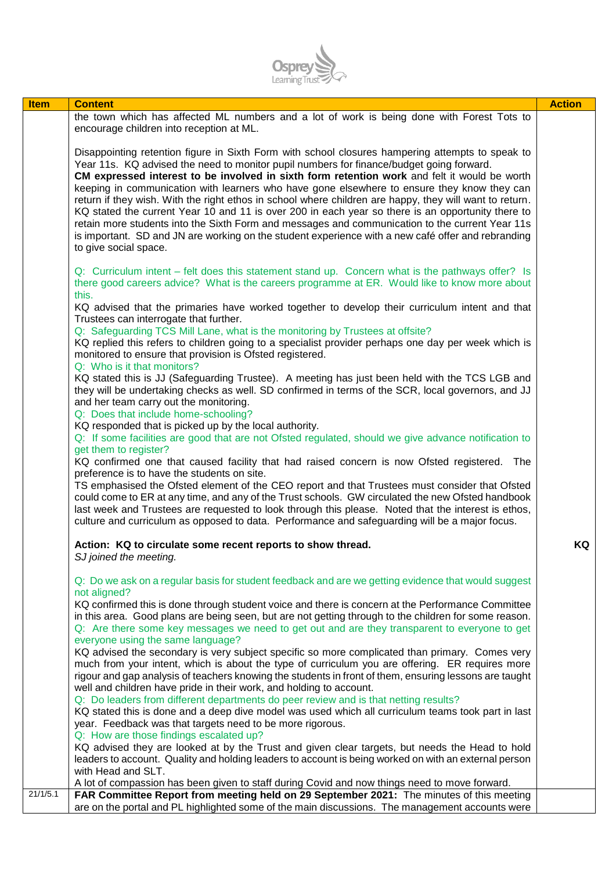

| <b>Item</b> | <b>Content</b>                                                                                                                                                                                                                                                                                                                                                                                                                                                                                                                                                                                                                                                                                                                                                                                                       | <b>Action</b> |
|-------------|----------------------------------------------------------------------------------------------------------------------------------------------------------------------------------------------------------------------------------------------------------------------------------------------------------------------------------------------------------------------------------------------------------------------------------------------------------------------------------------------------------------------------------------------------------------------------------------------------------------------------------------------------------------------------------------------------------------------------------------------------------------------------------------------------------------------|---------------|
|             | the town which has affected ML numbers and a lot of work is being done with Forest Tots to                                                                                                                                                                                                                                                                                                                                                                                                                                                                                                                                                                                                                                                                                                                           |               |
|             | encourage children into reception at ML.                                                                                                                                                                                                                                                                                                                                                                                                                                                                                                                                                                                                                                                                                                                                                                             |               |
|             | Disappointing retention figure in Sixth Form with school closures hampering attempts to speak to<br>Year 11s. KQ advised the need to monitor pupil numbers for finance/budget going forward.<br>CM expressed interest to be involved in sixth form retention work and felt it would be worth<br>keeping in communication with learners who have gone elsewhere to ensure they know they can<br>return if they wish. With the right ethos in school where children are happy, they will want to return.<br>KQ stated the current Year 10 and 11 is over 200 in each year so there is an opportunity there to<br>retain more students into the Sixth Form and messages and communication to the current Year 11s<br>is important. SD and JN are working on the student experience with a new café offer and rebranding |               |
|             | to give social space.                                                                                                                                                                                                                                                                                                                                                                                                                                                                                                                                                                                                                                                                                                                                                                                                |               |
|             | Q: Curriculum intent – felt does this statement stand up. Concern what is the pathways offer? Is<br>there good careers advice? What is the careers programme at ER. Would like to know more about<br>this.                                                                                                                                                                                                                                                                                                                                                                                                                                                                                                                                                                                                           |               |
|             | KQ advised that the primaries have worked together to develop their curriculum intent and that<br>Trustees can interrogate that further.                                                                                                                                                                                                                                                                                                                                                                                                                                                                                                                                                                                                                                                                             |               |
|             | Q: Safeguarding TCS Mill Lane, what is the monitoring by Trustees at offsite?<br>KQ replied this refers to children going to a specialist provider perhaps one day per week which is<br>monitored to ensure that provision is Ofsted registered.<br>Q: Who is it that monitors?                                                                                                                                                                                                                                                                                                                                                                                                                                                                                                                                      |               |
|             | KQ stated this is JJ (Safeguarding Trustee). A meeting has just been held with the TCS LGB and<br>they will be undertaking checks as well. SD confirmed in terms of the SCR, local governors, and JJ<br>and her team carry out the monitoring.<br>Q: Does that include home-schooling?                                                                                                                                                                                                                                                                                                                                                                                                                                                                                                                               |               |
|             | KQ responded that is picked up by the local authority.<br>Q: If some facilities are good that are not Ofsted regulated, should we give advance notification to<br>get them to register?                                                                                                                                                                                                                                                                                                                                                                                                                                                                                                                                                                                                                              |               |
|             | KQ confirmed one that caused facility that had raised concern is now Ofsted registered. The<br>preference is to have the students on site.<br>TS emphasised the Ofsted element of the CEO report and that Trustees must consider that Ofsted                                                                                                                                                                                                                                                                                                                                                                                                                                                                                                                                                                         |               |
|             | could come to ER at any time, and any of the Trust schools. GW circulated the new Ofsted handbook<br>last week and Trustees are requested to look through this please. Noted that the interest is ethos,<br>culture and curriculum as opposed to data. Performance and safeguarding will be a major focus.                                                                                                                                                                                                                                                                                                                                                                                                                                                                                                           |               |
|             | Action: KQ to circulate some recent reports to show thread.<br>SJ joined the meeting.                                                                                                                                                                                                                                                                                                                                                                                                                                                                                                                                                                                                                                                                                                                                | KQ            |
|             | Q: Do we ask on a regular basis for student feedback and are we getting evidence that would suggest<br>not aligned?                                                                                                                                                                                                                                                                                                                                                                                                                                                                                                                                                                                                                                                                                                  |               |
|             | KQ confirmed this is done through student voice and there is concern at the Performance Committee<br>in this area. Good plans are being seen, but are not getting through to the children for some reason.<br>Q: Are there some key messages we need to get out and are they transparent to everyone to get<br>everyone using the same language?                                                                                                                                                                                                                                                                                                                                                                                                                                                                     |               |
|             | KQ advised the secondary is very subject specific so more complicated than primary. Comes very<br>much from your intent, which is about the type of curriculum you are offering. ER requires more<br>rigour and gap analysis of teachers knowing the students in front of them, ensuring lessons are taught<br>well and children have pride in their work, and holding to account.                                                                                                                                                                                                                                                                                                                                                                                                                                   |               |
|             | Q: Do leaders from different departments do peer review and is that netting results?<br>KQ stated this is done and a deep dive model was used which all curriculum teams took part in last<br>year. Feedback was that targets need to be more rigorous.                                                                                                                                                                                                                                                                                                                                                                                                                                                                                                                                                              |               |
|             | Q: How are those findings escalated up?<br>KQ advised they are looked at by the Trust and given clear targets, but needs the Head to hold<br>leaders to account. Quality and holding leaders to account is being worked on with an external person<br>with Head and SLT.                                                                                                                                                                                                                                                                                                                                                                                                                                                                                                                                             |               |
|             | A lot of compassion has been given to staff during Covid and now things need to move forward.                                                                                                                                                                                                                                                                                                                                                                                                                                                                                                                                                                                                                                                                                                                        |               |
| 21/1/5.1    | FAR Committee Report from meeting held on 29 September 2021: The minutes of this meeting<br>are on the portal and PL highlighted some of the main discussions. The management accounts were                                                                                                                                                                                                                                                                                                                                                                                                                                                                                                                                                                                                                          |               |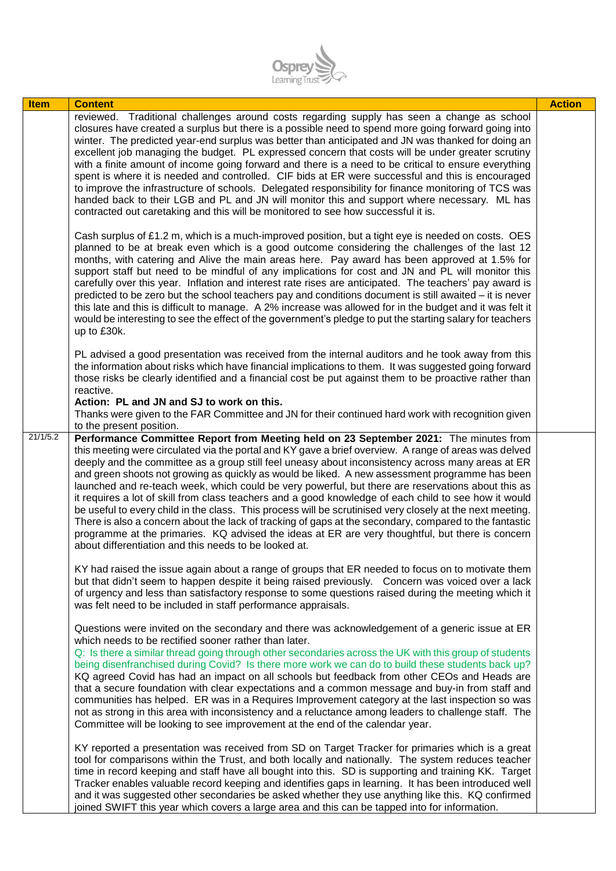

| <b>Item</b> | <b>Content</b>                                                                                                                                                                                                                                                                                                                                                                                                                                                                                                                                                                                                                                                                                                                                                                                                                                                                                                                                                                                           | <b>Action</b> |
|-------------|----------------------------------------------------------------------------------------------------------------------------------------------------------------------------------------------------------------------------------------------------------------------------------------------------------------------------------------------------------------------------------------------------------------------------------------------------------------------------------------------------------------------------------------------------------------------------------------------------------------------------------------------------------------------------------------------------------------------------------------------------------------------------------------------------------------------------------------------------------------------------------------------------------------------------------------------------------------------------------------------------------|---------------|
|             | reviewed. Traditional challenges around costs regarding supply has seen a change as school<br>closures have created a surplus but there is a possible need to spend more going forward going into<br>winter. The predicted year-end surplus was better than anticipated and JN was thanked for doing an<br>excellent job managing the budget. PL expressed concern that costs will be under greater scrutiny<br>with a finite amount of income going forward and there is a need to be critical to ensure everything<br>spent is where it is needed and controlled. CIF bids at ER were successful and this is encouraged<br>to improve the infrastructure of schools. Delegated responsibility for finance monitoring of TCS was<br>handed back to their LGB and PL and JN will monitor this and support where necessary. ML has<br>contracted out caretaking and this will be monitored to see how successful it is.                                                                                   |               |
|             | Cash surplus of £1.2 m, which is a much-improved position, but a tight eye is needed on costs. OES<br>planned to be at break even which is a good outcome considering the challenges of the last 12<br>months, with catering and Alive the main areas here. Pay award has been approved at 1.5% for<br>support staff but need to be mindful of any implications for cost and JN and PL will monitor this<br>carefully over this year. Inflation and interest rate rises are anticipated. The teachers' pay award is<br>predicted to be zero but the school teachers pay and conditions document is still awaited - it is never<br>this late and this is difficult to manage. A 2% increase was allowed for in the budget and it was felt it<br>would be interesting to see the effect of the government's pledge to put the starting salary for teachers<br>up to £30k.                                                                                                                                  |               |
|             | PL advised a good presentation was received from the internal auditors and he took away from this<br>the information about risks which have financial implications to them. It was suggested going forward<br>those risks be clearly identified and a financial cost be put against them to be proactive rather than<br>reactive.<br>Action: PL and JN and SJ to work on this.<br>Thanks were given to the FAR Committee and JN for their continued hard work with recognition given<br>to the present position.                                                                                                                                                                                                                                                                                                                                                                                                                                                                                         |               |
| 21/1/5.2    | Performance Committee Report from Meeting held on 23 September 2021: The minutes from<br>this meeting were circulated via the portal and KY gave a brief overview. A range of areas was delved<br>deeply and the committee as a group still feel uneasy about inconsistency across many areas at ER<br>and green shoots not growing as quickly as would be liked. A new assessment programme has been<br>launched and re-teach week, which could be very powerful, but there are reservations about this as<br>it requires a lot of skill from class teachers and a good knowledge of each child to see how it would<br>be useful to every child in the class. This process will be scrutinised very closely at the next meeting.<br>There is also a concern about the lack of tracking of gaps at the secondary, compared to the fantastic<br>programme at the primaries. KQ advised the ideas at ER are very thoughtful, but there is concern<br>about differentiation and this needs to be looked at. |               |
|             | KY had raised the issue again about a range of groups that ER needed to focus on to motivate them<br>but that didn't seem to happen despite it being raised previously. Concern was voiced over a lack<br>of urgency and less than satisfactory response to some questions raised during the meeting which it<br>was felt need to be included in staff performance appraisals.                                                                                                                                                                                                                                                                                                                                                                                                                                                                                                                                                                                                                           |               |
|             | Questions were invited on the secondary and there was acknowledgement of a generic issue at ER<br>which needs to be rectified sooner rather than later.<br>Q: Is there a similar thread going through other secondaries across the UK with this group of students<br>being disenfranchised during Covid? Is there more work we can do to build these students back up?<br>KQ agreed Covid has had an impact on all schools but feedback from other CEOs and Heads are<br>that a secure foundation with clear expectations and a common message and buy-in from staff and<br>communities has helped. ER was in a Requires Improvement category at the last inspection so was<br>not as strong in this area with inconsistency and a reluctance among leaders to challenge staff. The<br>Committee will be looking to see improvement at the end of the calendar year.                                                                                                                                     |               |
|             | KY reported a presentation was received from SD on Target Tracker for primaries which is a great<br>tool for comparisons within the Trust, and both locally and nationally. The system reduces teacher<br>time in record keeping and staff have all bought into this. SD is supporting and training KK. Target<br>Tracker enables valuable record keeping and identifies gaps in learning. It has been introduced well<br>and it was suggested other secondaries be asked whether they use anything like this. KQ confirmed<br>joined SWIFT this year which covers a large area and this can be tapped into for information.                                                                                                                                                                                                                                                                                                                                                                             |               |